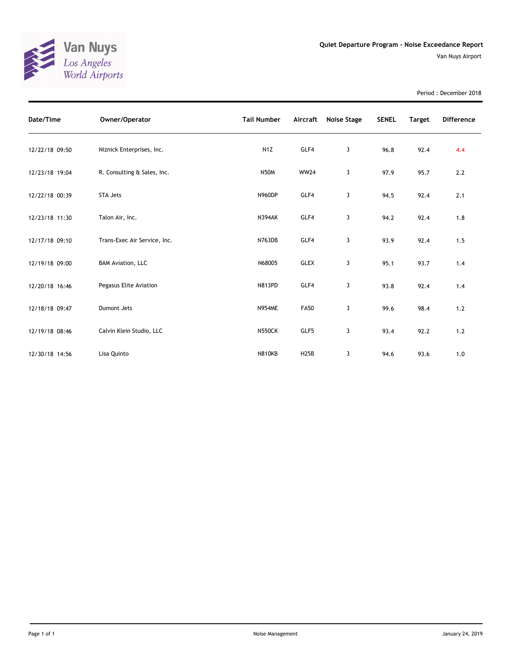

Period : December 2018

| Date/Time      | Owner/Operator               | <b>Tail Number</b> | Aircraft    | Noise Stage | <b>SENEL</b> | <b>Target</b> | <b>Difference</b> |
|----------------|------------------------------|--------------------|-------------|-------------|--------------|---------------|-------------------|
| 12/22/18 09:50 | Niznick Enterprises, Inc.    | N <sub>1</sub> Z   | GLF4        | 3           | 96.8         | 92.4          | 4.4               |
| 12/23/18 19:04 | R. Consulting & Sales, Inc.  | <b>N50M</b>        | <b>WW24</b> | 3           | 97.9         | 95.7          | 2.2               |
| 12/22/18 00:39 | <b>STA Jets</b>              | <b>N960DP</b>      | GLF4        | 3           | 94.5         | 92.4          | 2.1               |
| 12/23/18 11:30 | Talon Air, Inc.              | <b>N394AK</b>      | GLF4        | 3           | 94.2         | 92.4          | 1.8               |
| 12/17/18 09:10 | Trans-Exec Air Service, Inc. | <b>N763DB</b>      | GLF4        | 3           | 93.9         | 92.4          | 1.5               |
| 12/19/18 09:00 | <b>BAM Aviation, LLC</b>     | N68005             | <b>GLEX</b> | 3           | 95.1         | 93.7          | 1.4               |
| 12/20/18 16:46 | Pegasus Elite Aviation       | <b>N813PD</b>      | GLF4        | 3           | 93.8         | 92.4          | 1.4               |
| 12/18/18 09:47 | Dumont Jets                  | <b>N954ME</b>      | <b>FA50</b> | 3           | 99.6         | 98.4          | 1.2               |
| 12/19/18 08:46 | Calvin Klein Studio, LLC     | <b>N550CK</b>      | GLF5        | 3           | 93.4         | 92.2          | $1.2$             |
| 12/30/18 14:56 | Lisa Quinto                  | <b>N810KB</b>      | H25B        | 3           | 94.6         | 93.6          | 1.0               |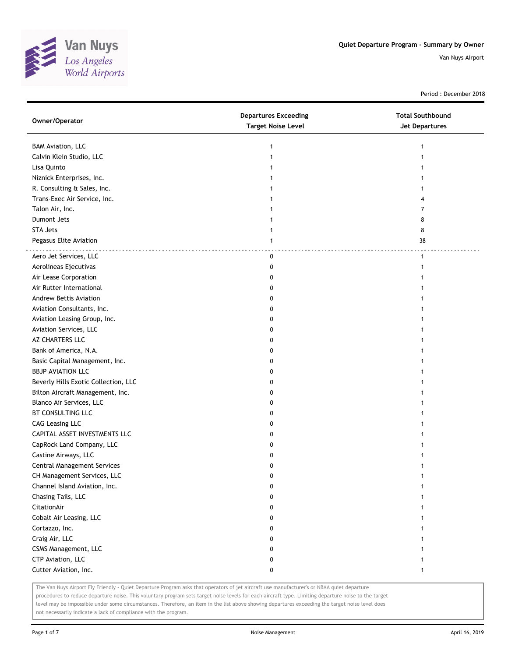

Period : December 2018

| Owner/Operator                       | <b>Departures Exceeding</b><br><b>Target Noise Level</b> | <b>Total Southbound</b><br><b>Jet Departures</b> |
|--------------------------------------|----------------------------------------------------------|--------------------------------------------------|
| <b>BAM Aviation, LLC</b>             | 1                                                        |                                                  |
| Calvin Klein Studio, LLC             | 1                                                        |                                                  |
| Lisa Quinto                          |                                                          |                                                  |
| Niznick Enterprises, Inc.            |                                                          |                                                  |
| R. Consulting & Sales, Inc.          |                                                          |                                                  |
| Trans-Exec Air Service, Inc.         |                                                          |                                                  |
| Talon Air, Inc.                      |                                                          | 7                                                |
| Dumont Jets                          |                                                          | 8                                                |
| <b>STA Jets</b>                      | 1                                                        | 8                                                |
| Pegasus Elite Aviation               | 1                                                        | 38                                               |
| Aero Jet Services, LLC               | $\mathbf 0$                                              | $\mathbf{1}$                                     |
| Aerolineas Ejecutivas                | 0                                                        |                                                  |
| Air Lease Corporation                | 0                                                        |                                                  |
| Air Rutter International             | 0                                                        |                                                  |
| <b>Andrew Bettis Aviation</b>        | 0                                                        |                                                  |
| Aviation Consultants, Inc.           | 0                                                        |                                                  |
| Aviation Leasing Group, Inc.         | 0                                                        |                                                  |
| Aviation Services, LLC               | 0                                                        |                                                  |
| AZ CHARTERS LLC                      | 0                                                        |                                                  |
| Bank of America, N.A.                | 0                                                        |                                                  |
| Basic Capital Management, Inc.       | 0                                                        |                                                  |
| <b>BBJP AVIATION LLC</b>             | 0                                                        |                                                  |
| Beverly Hills Exotic Collection, LLC | 0                                                        |                                                  |
| Bilton Aircraft Management, Inc.     | 0                                                        |                                                  |
| Blanco Air Services, LLC             | 0                                                        |                                                  |
| BT CONSULTING LLC                    | 0                                                        |                                                  |
| <b>CAG Leasing LLC</b>               | 0                                                        |                                                  |
| CAPITAL ASSET INVESTMENTS LLC        | 0                                                        |                                                  |
| CapRock Land Company, LLC            | 0                                                        |                                                  |
| Castine Airways, LLC                 | 0                                                        |                                                  |
| Central Management Services          | 0                                                        |                                                  |
| CH Management Services, LLC          | 0                                                        |                                                  |
| Channel Island Aviation, Inc.        | $\pmb{0}$                                                | $\mathbf{1}$                                     |
| Chasing Tails, LLC                   | 0                                                        | 1                                                |
| CitationAir                          | 0                                                        |                                                  |
| Cobalt Air Leasing, LLC              | 0                                                        |                                                  |
| Cortazzo, Inc.                       | 0                                                        |                                                  |
| Craig Air, LLC                       | 0                                                        |                                                  |
| CSMS Management, LLC                 | 0                                                        |                                                  |
| CTP Aviation, LLC                    | 0                                                        |                                                  |
| Cutter Aviation, Inc.                | 0                                                        | 1                                                |

The Van Nuys Airport Fly Friendly - Quiet Departure Program asks that operators of jet aircraft use manufacturer's or NBAA quiet departure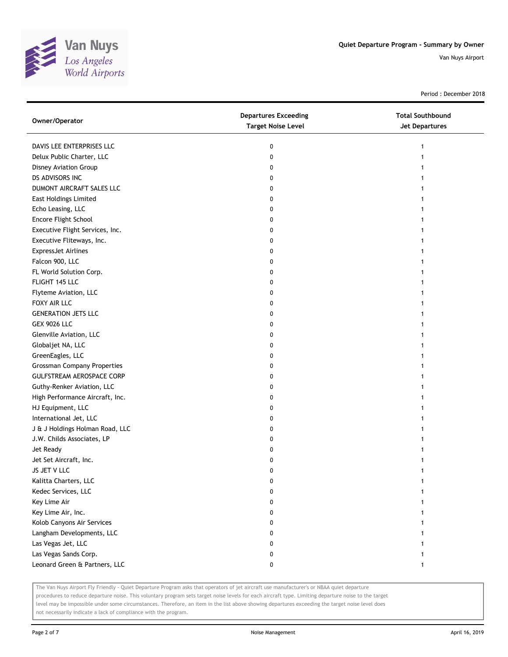

Period : December 2018

| Owner/Operator                     | <b>Departures Exceeding</b><br><b>Target Noise Level</b> | <b>Total Southbound</b><br><b>Jet Departures</b> |
|------------------------------------|----------------------------------------------------------|--------------------------------------------------|
| DAVIS LEE ENTERPRISES LLC          | 0                                                        | 1                                                |
| Delux Public Charter, LLC          | 0                                                        |                                                  |
| Disney Aviation Group              | 0                                                        |                                                  |
| DS ADVISORS INC                    | 0                                                        |                                                  |
| DUMONT AIRCRAFT SALES LLC          | 0                                                        |                                                  |
| East Holdings Limited              | 0                                                        |                                                  |
| Echo Leasing, LLC                  | 0                                                        |                                                  |
| Encore Flight School               | 0                                                        |                                                  |
| Executive Flight Services, Inc.    | 0                                                        |                                                  |
| Executive Fliteways, Inc.          | 0                                                        |                                                  |
| <b>ExpressJet Airlines</b>         | 0                                                        |                                                  |
| Falcon 900, LLC                    | 0                                                        |                                                  |
| FL World Solution Corp.            | 0                                                        |                                                  |
| FLIGHT 145 LLC                     | 0                                                        |                                                  |
| Flyteme Aviation, LLC              | 0                                                        |                                                  |
| FOXY AIR LLC                       | 0                                                        |                                                  |
| <b>GENERATION JETS LLC</b>         | 0                                                        |                                                  |
| <b>GEX 9026 LLC</b>                | 0                                                        |                                                  |
| Glenville Aviation, LLC            | 0                                                        |                                                  |
| Globaljet NA, LLC                  | 0                                                        |                                                  |
| GreenEagles, LLC                   | 0                                                        |                                                  |
| <b>Grossman Company Properties</b> | 0                                                        |                                                  |
| GULFSTREAM AEROSPACE CORP          | 0                                                        |                                                  |
| Guthy-Renker Aviation, LLC         | 0                                                        |                                                  |
| High Performance Aircraft, Inc.    | 0                                                        |                                                  |
| HJ Equipment, LLC                  | 0                                                        |                                                  |
| International Jet, LLC             | 0                                                        |                                                  |
| J & J Holdings Holman Road, LLC    | 0                                                        |                                                  |
| J.W. Childs Associates, LP         | 0                                                        |                                                  |
| Jet Ready                          | 0                                                        |                                                  |
| Jet Set Aircraft, Inc.             | 0                                                        |                                                  |
| JS JET V LLC                       | 0                                                        |                                                  |
| Kalitta Charters, LLC              | 0                                                        |                                                  |
| Kedec Services, LLC                | 0                                                        |                                                  |
| Key Lime Air                       | O                                                        |                                                  |
| Key Lime Air, Inc.                 | 0                                                        |                                                  |
| Kolob Canyons Air Services         | 0                                                        |                                                  |
| Langham Developments, LLC          | 0                                                        |                                                  |
| Las Vegas Jet, LLC                 | 0                                                        |                                                  |
| Las Vegas Sands Corp.              | 0                                                        |                                                  |
| Leonard Green & Partners, LLC      | 0                                                        | 1                                                |

The Van Nuys Airport Fly Friendly - Quiet Departure Program asks that operators of jet aircraft use manufacturer's or NBAA quiet departure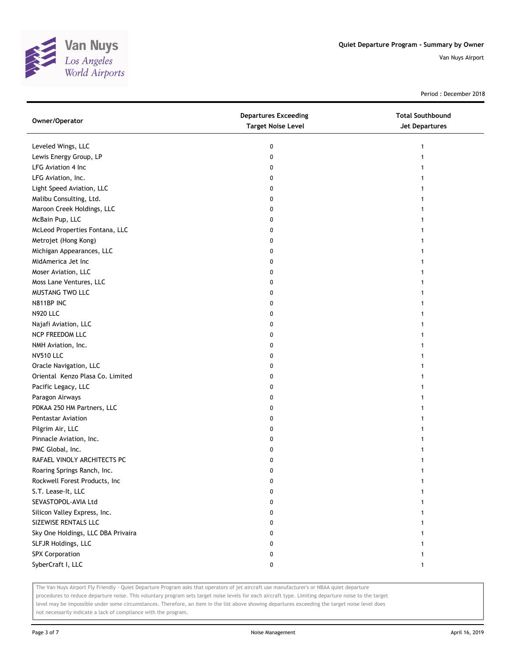

Period : December 2018

| Owner/Operator                     | <b>Departures Exceeding</b><br><b>Target Noise Level</b> | <b>Total Southbound</b><br>Jet Departures |
|------------------------------------|----------------------------------------------------------|-------------------------------------------|
| Leveled Wings, LLC                 | 0                                                        | 1                                         |
| Lewis Energy Group, LP             | 0                                                        |                                           |
| LFG Aviation 4 Inc                 | 0                                                        |                                           |
| LFG Aviation, Inc.                 | 0                                                        |                                           |
| Light Speed Aviation, LLC          | 0                                                        |                                           |
| Malibu Consulting, Ltd.            | 0                                                        |                                           |
| Maroon Creek Holdings, LLC         | 0                                                        |                                           |
| McBain Pup, LLC                    | 0                                                        |                                           |
| McLeod Properties Fontana, LLC     | 0                                                        |                                           |
| Metrojet (Hong Kong)               | 0                                                        |                                           |
| Michigan Appearances, LLC          | 0                                                        |                                           |
| MidAmerica Jet Inc                 | 0                                                        |                                           |
| Moser Aviation, LLC                | 0                                                        |                                           |
| Moss Lane Ventures, LLC            | 0                                                        |                                           |
| MUSTANG TWO LLC                    | 0                                                        |                                           |
| N811BP INC                         | 0                                                        | 1                                         |
| <b>N920 LLC</b>                    | 0                                                        |                                           |
| Najafi Aviation, LLC               | 0                                                        |                                           |
| NCP FREEDOM LLC                    | 0                                                        |                                           |
| NMH Aviation, Inc.                 | 0                                                        |                                           |
| <b>NV510 LLC</b>                   | 0                                                        |                                           |
| Oracle Navigation, LLC             | 0                                                        |                                           |
| Oriental Kenzo Plasa Co. Limited   | 0                                                        |                                           |
| Pacific Legacy, LLC                | 0                                                        |                                           |
| Paragon Airways                    | 0                                                        | 1                                         |
| PDKAA 250 HM Partners, LLC         | 0                                                        | 1                                         |
| Pentastar Aviation                 | 0                                                        |                                           |
| Pilgrim Air, LLC                   | 0                                                        |                                           |
| Pinnacle Aviation, Inc.            | 0                                                        |                                           |
| PMC Global, Inc.                   | 0                                                        |                                           |
| RAFAEL VINOLY ARCHITECTS PC        | 0                                                        |                                           |
| Roaring Springs Ranch, Inc.        | 0                                                        |                                           |
| Rockwell Forest Products, Inc      | 0                                                        |                                           |
| S.T. Lease-It, LLC                 | 0                                                        |                                           |
| SEVASTOPOL-AVIA Ltd                | 0                                                        |                                           |
| Silicon Valley Express, Inc.       | 0                                                        |                                           |
| SIZEWISE RENTALS LLC               | 0                                                        |                                           |
| Sky One Holdings, LLC DBA Privaira | 0                                                        |                                           |
| SLFJR Holdings, LLC                | 0                                                        |                                           |
| <b>SPX Corporation</b>             | 0                                                        |                                           |
| SyberCraft I, LLC                  | 0                                                        | 1                                         |

The Van Nuys Airport Fly Friendly - Quiet Departure Program asks that operators of jet aircraft use manufacturer's or NBAA quiet departure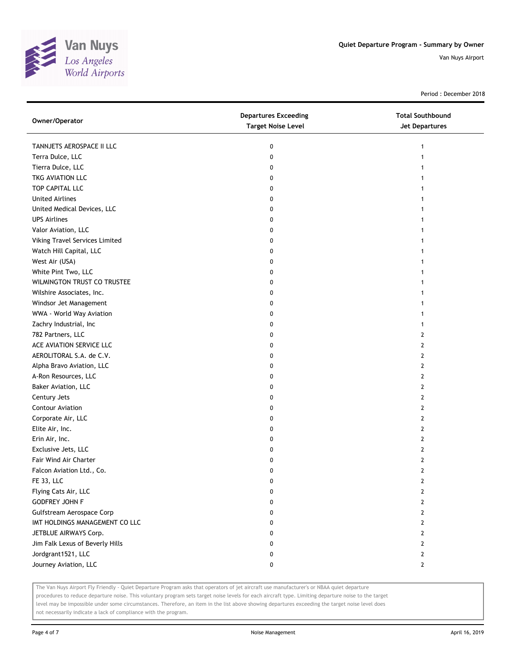

Period : December 2018

| Owner/Operator                  | <b>Departures Exceeding</b><br><b>Target Noise Level</b> | <b>Total Southbound</b><br><b>Jet Departures</b> |
|---------------------------------|----------------------------------------------------------|--------------------------------------------------|
| TANNJETS AEROSPACE II LLC       | 0                                                        |                                                  |
| Terra Dulce, LLC                | 0                                                        |                                                  |
| Tierra Dulce, LLC               | 0                                                        |                                                  |
| TKG AVIATION LLC                | 0                                                        |                                                  |
| TOP CAPITAL LLC                 | 0                                                        |                                                  |
| <b>United Airlines</b>          | 0                                                        |                                                  |
| United Medical Devices, LLC     | 0                                                        |                                                  |
| <b>UPS Airlines</b>             | 0                                                        |                                                  |
| Valor Aviation, LLC             | 0                                                        |                                                  |
| Viking Travel Services Limited  | 0                                                        |                                                  |
| Watch Hill Capital, LLC         | 0                                                        |                                                  |
| West Air (USA)                  | 0                                                        |                                                  |
| White Pint Two, LLC             | 0                                                        |                                                  |
| WILMINGTON TRUST CO TRUSTEE     | 0                                                        |                                                  |
| Wilshire Associates, Inc.       | 0                                                        |                                                  |
| Windsor Jet Management          | 0                                                        |                                                  |
| WWA - World Way Aviation        | 0                                                        |                                                  |
| Zachry Industrial, Inc          | 0                                                        |                                                  |
| 782 Partners, LLC               | 0                                                        | 2                                                |
| ACE AVIATION SERVICE LLC        | 0                                                        | 2                                                |
| AEROLITORAL S.A. de C.V.        | 0                                                        | 2                                                |
| Alpha Bravo Aviation, LLC       | 0                                                        | 2                                                |
| A-Ron Resources, LLC            | 0                                                        | 2                                                |
| Baker Aviation, LLC             | 0                                                        | 2                                                |
| Century Jets                    | 0                                                        | 2                                                |
| Contour Aviation                | 0                                                        | 2                                                |
| Corporate Air, LLC              | 0                                                        | 2                                                |
| Elite Air, Inc.                 | 0                                                        | 2                                                |
| Erin Air, Inc.                  | 0                                                        | 2                                                |
| Exclusive Jets, LLC             | 0                                                        | 2                                                |
| Fair Wind Air Charter           | 0                                                        | 2                                                |
| Falcon Aviation Ltd., Co.       | 0                                                        | 2                                                |
| FE 33, LLC                      | 0                                                        | 2                                                |
| Flying Cats Air, LLC            | 0                                                        | 2                                                |
| <b>GODFREY JOHN F</b>           | 0                                                        | $\overline{2}$                                   |
| Gulfstream Aerospace Corp       | 0                                                        | 2                                                |
| IMT HOLDINGS MANAGEMENT CO LLC  | 0                                                        | 2                                                |
| JETBLUE AIRWAYS Corp.           | 0                                                        | 2                                                |
| Jim Falk Lexus of Beverly Hills | 0                                                        | 2                                                |
| Jordgrant1521, LLC              | 0                                                        | 2                                                |
| Journey Aviation, LLC           | 0                                                        | $\mathbf{2}$                                     |

The Van Nuys Airport Fly Friendly - Quiet Departure Program asks that operators of jet aircraft use manufacturer's or NBAA quiet departure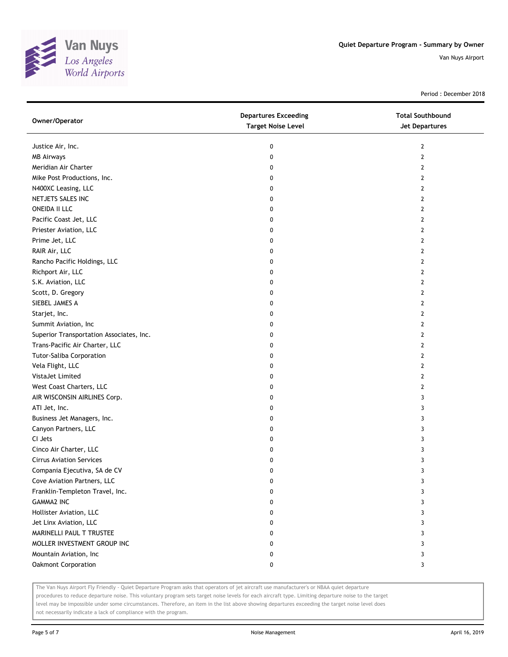

Period : December 2018

| Owner/Operator                           | <b>Departures Exceeding</b><br><b>Target Noise Level</b> | <b>Total Southbound</b><br>Jet Departures |
|------------------------------------------|----------------------------------------------------------|-------------------------------------------|
| Justice Air, Inc.                        | 0                                                        | $\mathbf{2}$                              |
| <b>MB Airways</b>                        | 0                                                        | $\mathbf{2}$                              |
| Meridian Air Charter                     | 0                                                        | 2                                         |
| Mike Post Productions, Inc.              | 0                                                        | 2                                         |
| N400XC Leasing, LLC                      | 0                                                        | 2                                         |
| NETJETS SALES INC                        | 0                                                        | $\overline{2}$                            |
| <b>ONEIDA II LLC</b>                     | 0                                                        | $\overline{2}$                            |
| Pacific Coast Jet, LLC                   | 0                                                        | 2                                         |
| Priester Aviation, LLC                   | 0                                                        | $\overline{2}$                            |
| Prime Jet, LLC                           | 0                                                        | $\overline{2}$                            |
| RAIR Air, LLC                            | 0                                                        | $\overline{2}$                            |
| Rancho Pacific Holdings, LLC             | 0                                                        | $\overline{2}$                            |
| Richport Air, LLC                        | 0                                                        | $\overline{2}$                            |
| S.K. Aviation, LLC                       | 0                                                        | $\overline{2}$                            |
| Scott, D. Gregory                        | 0                                                        | $\overline{2}$                            |
| SIEBEL JAMES A                           | 0                                                        | 2                                         |
| Starjet, Inc.                            | 0                                                        | 2                                         |
| Summit Aviation, Inc                     | 0                                                        | 2                                         |
| Superior Transportation Associates, Inc. | 0                                                        | $\overline{2}$                            |
| Trans-Pacific Air Charter, LLC           | 0                                                        | $\overline{2}$                            |
| <b>Tutor-Saliba Corporation</b>          | 0                                                        | $\overline{2}$                            |
| Vela Flight, LLC                         | 0                                                        | $\overline{2}$                            |
| VistaJet Limited                         | 0                                                        | 2                                         |
| West Coast Charters, LLC                 | 0                                                        | 2                                         |
| AIR WISCONSIN AIRLINES Corp.             | 0                                                        | 3                                         |
| ATI Jet, Inc.                            | 0                                                        | 3                                         |
| Business Jet Managers, Inc.              | 0                                                        | 3                                         |
| Canyon Partners, LLC                     | 0                                                        | 3                                         |
| CI Jets                                  | 0                                                        | 3                                         |
| Cinco Air Charter, LLC                   | 0                                                        | 3                                         |
| <b>Cirrus Aviation Services</b>          | 0                                                        | 3                                         |
| Compania Ejecutiva, SA de CV             | 0                                                        | 3                                         |
| Cove Aviation Partners, LLC              | 0                                                        | 3                                         |
| Franklin-Templeton Travel, Inc.          | 0                                                        | 3                                         |
| <b>GAMMA2 INC</b>                        | 0                                                        | 3                                         |
| Hollister Aviation, LLC                  | 0                                                        | 3                                         |
| Jet Linx Aviation, LLC                   | 0                                                        | 3                                         |
| MARINELLI PAUL T TRUSTEE                 | 0                                                        | 3                                         |
| MOLLER INVESTMENT GROUP INC              | 0                                                        | 3                                         |
| Mountain Aviation, Inc                   | 0                                                        | 3                                         |
| Oakmont Corporation                      | 0                                                        | 3                                         |

The Van Nuys Airport Fly Friendly - Quiet Departure Program asks that operators of jet aircraft use manufacturer's or NBAA quiet departure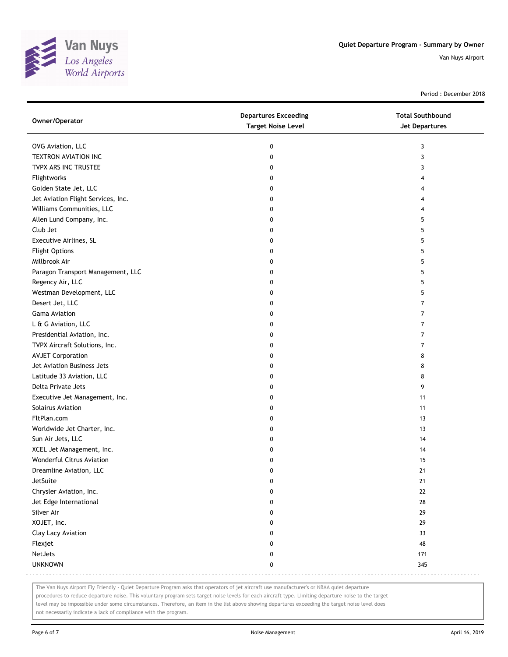

Period : December 2018

| Owner/Operator                     | <b>Departures Exceeding</b><br><b>Target Noise Level</b> | <b>Total Southbound</b><br><b>Jet Departures</b> |
|------------------------------------|----------------------------------------------------------|--------------------------------------------------|
| OVG Aviation, LLC                  | 0                                                        | 3                                                |
| TEXTRON AVIATION INC               | 0                                                        | 3                                                |
| TVPX ARS INC TRUSTEE               | 0                                                        | 3                                                |
| Flightworks                        | 0                                                        | 4                                                |
| Golden State Jet, LLC              | 0                                                        | 4                                                |
| Jet Aviation Flight Services, Inc. | 0                                                        | 4                                                |
| Williams Communities, LLC          | 0                                                        | 4                                                |
| Allen Lund Company, Inc.           | 0                                                        | 5                                                |
| Club Jet                           | 0                                                        | 5                                                |
| Executive Airlines, SL             | 0                                                        | 5                                                |
| <b>Flight Options</b>              | 0                                                        | 5                                                |
| Millbrook Air                      | 0                                                        | 5                                                |
| Paragon Transport Management, LLC  | 0                                                        | 5                                                |
| Regency Air, LLC                   | 0                                                        | 5                                                |
| Westman Development, LLC           | 0                                                        | 5                                                |
| Desert Jet, LLC                    | 0                                                        | 7                                                |
| Gama Aviation                      | 0                                                        | $\overline{7}$                                   |
| L & G Aviation, LLC                | 0                                                        | $\overline{7}$                                   |
| Presidential Aviation, Inc.        | 0                                                        | $\overline{7}$                                   |
| TVPX Aircraft Solutions, Inc.      | 0                                                        | $\overline{7}$                                   |
| <b>AVJET Corporation</b>           | 0                                                        | 8                                                |
| Jet Aviation Business Jets         | 0                                                        | 8                                                |
| Latitude 33 Aviation, LLC          | 0                                                        | 8                                                |
| Delta Private Jets                 | 0                                                        | 9                                                |
| Executive Jet Management, Inc.     | 0                                                        | 11                                               |
| Solairus Aviation                  | 0                                                        | 11                                               |
| FltPlan.com                        | 0                                                        | 13                                               |
| Worldwide Jet Charter, Inc.        | 0                                                        | 13                                               |
| Sun Air Jets, LLC                  | 0                                                        | 14                                               |
| XCEL Jet Management, Inc.          | 0                                                        | 14                                               |
| Wonderful Citrus Aviation          | 0                                                        | 15                                               |
| Dreamline Aviation, LLC            | 0                                                        | 21                                               |
| JetSuite                           | 0                                                        | 21                                               |
| Chrysler Aviation, Inc.            | 0                                                        | 22                                               |
| Jet Edge International             | 0                                                        | 28                                               |
| Silver Air                         | 0                                                        | 29                                               |
| XOJET, Inc.                        | 0                                                        | 29                                               |
| Clay Lacy Aviation                 | 0                                                        | 33                                               |
| Flexjet                            | 0                                                        | 48                                               |
| NetJets                            | 0                                                        | 171                                              |
| <b>UNKNOWN</b>                     | 0                                                        | 345                                              |

The Van Nuys Airport Fly Friendly - Quiet Departure Program asks that operators of jet aircraft use manufacturer's or NBAA quiet departure

procedures to reduce departure noise. This voluntary program sets target noise levels for each aircraft type. Limiting departure noise to the target

level may be impossible under some circumstances. Therefore, an item in the list above showing departures exceeding the target noise level does not necessarily indicate a lack of compliance with the program.